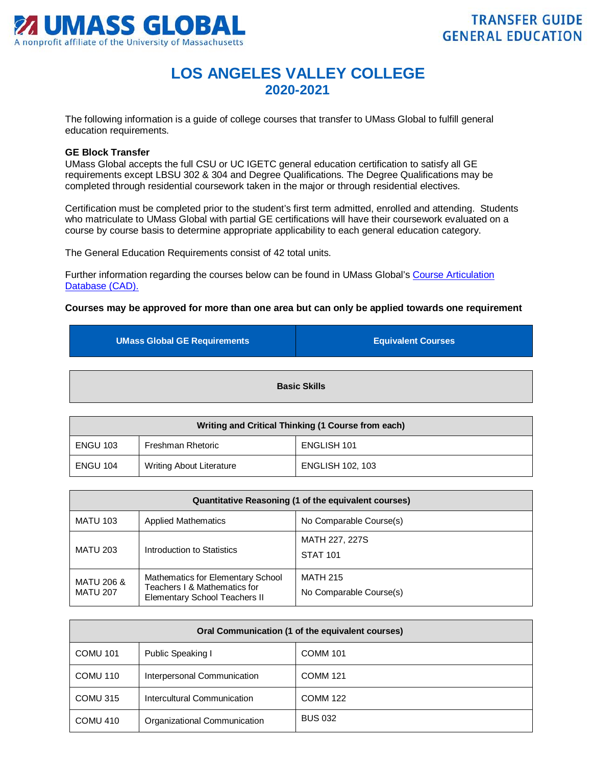

## **LOS ANGELES VALLEY COLLEGE 2020-2021**

The following information is a guide of college courses that transfer to UMass Global to fulfill general education requirements.

## **GE Block Transfer**

UMass Global accepts the full CSU or UC IGETC general education certification to satisfy all GE requirements except LBSU 302 & 304 and Degree Qualifications. The Degree Qualifications may be completed through residential coursework taken in the major or through residential electives.

Certification must be completed prior to the student's first term admitted, enrolled and attending. Students who matriculate to UMass Global with partial GE certifications will have their coursework evaluated on a course by course basis to determine appropriate applicability to each general education category.

The General Education Requirements consist of 42 total units.

Further information regarding the courses below can be found in UMass Global's [Course Articulation](http://services.umassglobal.edu/studentservices/TransferCredit/)  Database (CAD).

## **Courses may be approved for more than one area but can only be applied towards one requirement**

| <b>UMass Global GE Requirements</b> | <b>Equivalent Courses</b> |
|-------------------------------------|---------------------------|
|                                     |                           |
| <b>Basic Skills</b>                 |                           |

| Writing and Critical Thinking (1 Course from each) |                                 |                         |
|----------------------------------------------------|---------------------------------|-------------------------|
| <b>ENGU 103</b>                                    | Freshman Rhetoric               | ENGLISH 101             |
| <b>ENGU 104</b>                                    | <b>Writing About Literature</b> | <b>ENGLISH 102, 103</b> |

| Quantitative Reasoning (1 of the equivalent courses) |                                                                                                           |                                            |
|------------------------------------------------------|-----------------------------------------------------------------------------------------------------------|--------------------------------------------|
| <b>MATU 103</b>                                      | <b>Applied Mathematics</b>                                                                                | No Comparable Course(s)                    |
| <b>MATU 203</b>                                      | Introduction to Statistics                                                                                | MATH 227, 227S<br><b>STAT 101</b>          |
| <b>MATU 206 &amp;</b><br><b>MATU 207</b>             | Mathematics for Elementary School<br>Teachers I & Mathematics for<br><b>Elementary School Teachers II</b> | <b>MATH 215</b><br>No Comparable Course(s) |

| Oral Communication (1 of the equivalent courses) |                              |                 |
|--------------------------------------------------|------------------------------|-----------------|
| <b>COMU 101</b>                                  | Public Speaking I            | <b>COMM 101</b> |
| COMU 110                                         | Interpersonal Communication  | <b>COMM 121</b> |
| COMU <sub>315</sub>                              | Intercultural Communication  | <b>COMM 122</b> |
| COMU 410                                         | Organizational Communication | <b>BUS 032</b>  |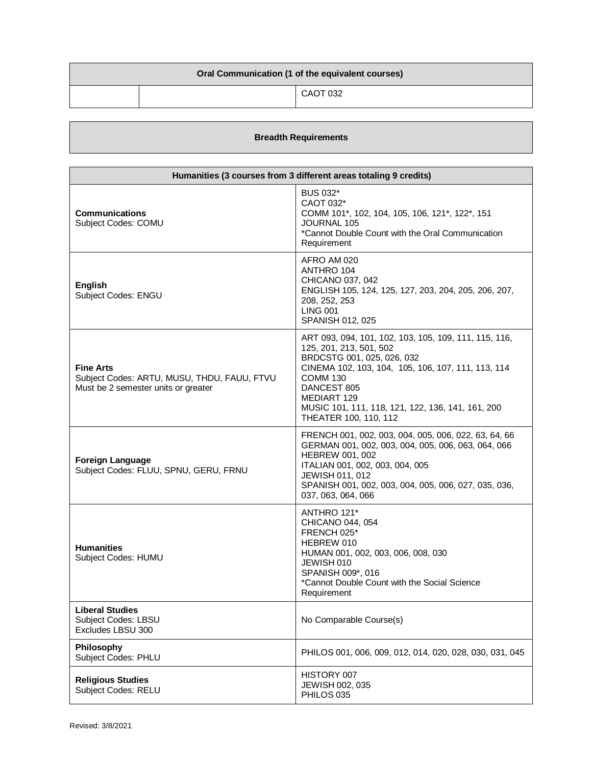| Oral Communication (1 of the equivalent courses) |  |          |
|--------------------------------------------------|--|----------|
|                                                  |  | CAOT 032 |

## **Breadth Requirements**

| Humanities (3 courses from 3 different areas totaling 9 credits)                                       |                                                                                                                                                                                                                                                                                                     |  |
|--------------------------------------------------------------------------------------------------------|-----------------------------------------------------------------------------------------------------------------------------------------------------------------------------------------------------------------------------------------------------------------------------------------------------|--|
| <b>Communications</b><br>Subject Codes: COMU                                                           | <b>BUS 032*</b><br>CAOT 032*<br>COMM 101*, 102, 104, 105, 106, 121*, 122*, 151<br><b>JOURNAL 105</b><br>*Cannot Double Count with the Oral Communication<br>Requirement                                                                                                                             |  |
| <b>English</b><br>Subject Codes: ENGU                                                                  | AFRO AM 020<br>ANTHRO 104<br>CHICANO 037, 042<br>ENGLISH 105, 124, 125, 127, 203, 204, 205, 206, 207,<br>208, 252, 253<br><b>LING 001</b><br>SPANISH 012, 025                                                                                                                                       |  |
| <b>Fine Arts</b><br>Subject Codes: ARTU, MUSU, THDU, FAUU, FTVU<br>Must be 2 semester units or greater | ART 093, 094, 101, 102, 103, 105, 109, 111, 115, 116,<br>125, 201, 213, 501, 502<br>BRDCSTG 001, 025, 026, 032<br>CINEMA 102, 103, 104, 105, 106, 107, 111, 113, 114<br><b>COMM 130</b><br>DANCEST 805<br>MEDIART 129<br>MUSIC 101, 111, 118, 121, 122, 136, 141, 161, 200<br>THEATER 100, 110, 112 |  |
| <b>Foreign Language</b><br>Subject Codes: FLUU, SPNU, GERU, FRNU                                       | FRENCH 001, 002, 003, 004, 005, 006, 022, 63, 64, 66<br>GERMAN 001, 002, 003, 004, 005, 006, 063, 064, 066<br><b>HEBREW 001, 002</b><br>ITALIAN 001, 002, 003, 004, 005<br>JEWISH 011, 012<br>SPANISH 001, 002, 003, 004, 005, 006, 027, 035, 036,<br>037, 063, 064, 066                            |  |
| <b>Humanities</b><br>Subject Codes: HUMU                                                               | ANTHRO 121*<br>CHICANO 044, 054<br>FRENCH 025*<br>HEBREW 010<br>HUMAN 001, 002, 003, 006, 008, 030<br>JEWISH 010<br>SPANISH 009*, 016<br>*Cannot Double Count with the Social Science<br>Requirement                                                                                                |  |
| <b>Liberal Studies</b><br>Subject Codes: LBSU<br>Excludes LBSU 300                                     | No Comparable Course(s)                                                                                                                                                                                                                                                                             |  |
| Philosophy<br>Subject Codes: PHLU                                                                      | PHILOS 001, 006, 009, 012, 014, 020, 028, 030, 031, 045                                                                                                                                                                                                                                             |  |
| <b>Religious Studies</b><br><b>Subject Codes: RELU</b>                                                 | HISTORY 007<br>JEWISH 002, 035<br>PHILOS 035                                                                                                                                                                                                                                                        |  |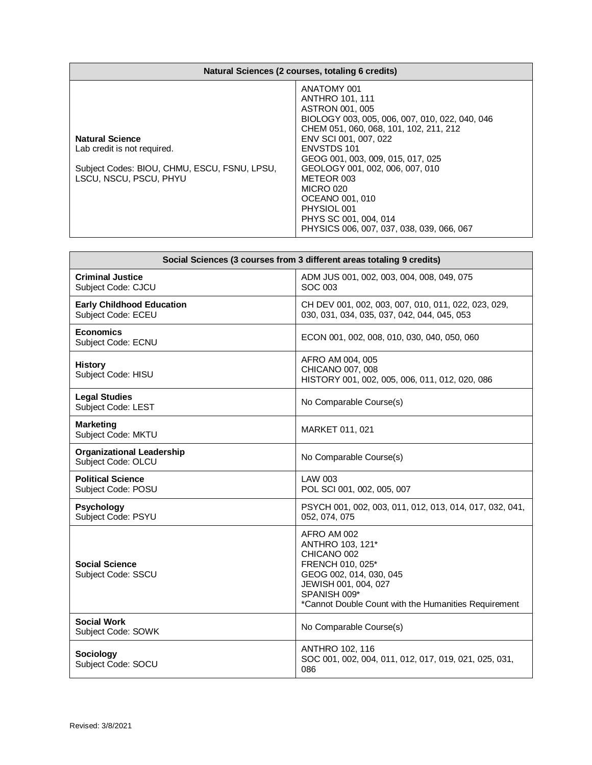| Natural Sciences (2 courses, totaling 6 credits)                                                                                |                                                                                                                                                                                                                                                                                                                                                                                                                       |
|---------------------------------------------------------------------------------------------------------------------------------|-----------------------------------------------------------------------------------------------------------------------------------------------------------------------------------------------------------------------------------------------------------------------------------------------------------------------------------------------------------------------------------------------------------------------|
| <b>Natural Science</b><br>Lab credit is not required.<br>Subject Codes: BIOU, CHMU, ESCU, FSNU, LPSU,<br>LSCU, NSCU, PSCU, PHYU | ANATOMY 001<br><b>ANTHRO 101, 111</b><br>ASTRON 001, 005<br>BIOLOGY 003, 005, 006, 007, 010, 022, 040, 046<br>CHEM 051, 060, 068, 101, 102, 211, 212<br>ENV SCI 001, 007, 022<br><b>ENVSTDS 101</b><br>GEOG 001, 003, 009, 015, 017, 025<br>GEOLOGY 001, 002, 006, 007, 010<br>METEOR 003<br><b>MICRO 020</b><br>OCEANO 001, 010<br>PHYSIOL 001<br>PHYS SC 001, 004, 014<br>PHYSICS 006, 007, 037, 038, 039, 066, 067 |

| Social Sciences (3 courses from 3 different areas totaling 9 credits) |                                                                                                                                                                                               |  |
|-----------------------------------------------------------------------|-----------------------------------------------------------------------------------------------------------------------------------------------------------------------------------------------|--|
| <b>Criminal Justice</b><br>Subject Code: CJCU                         | ADM JUS 001, 002, 003, 004, 008, 049, 075<br>SOC 003                                                                                                                                          |  |
| <b>Early Childhood Education</b><br>Subject Code: ECEU                | CH DEV 001, 002, 003, 007, 010, 011, 022, 023, 029,<br>030, 031, 034, 035, 037, 042, 044, 045, 053                                                                                            |  |
| <b>Economics</b><br>Subject Code: ECNU                                | ECON 001, 002, 008, 010, 030, 040, 050, 060                                                                                                                                                   |  |
| <b>History</b><br>Subject Code: HISU                                  | AFRO AM 004, 005<br>CHICANO 007, 008<br>HISTORY 001, 002, 005, 006, 011, 012, 020, 086                                                                                                        |  |
| <b>Legal Studies</b><br>Subject Code: LEST                            | No Comparable Course(s)                                                                                                                                                                       |  |
| Marketing<br>Subject Code: MKTU                                       | MARKET 011, 021                                                                                                                                                                               |  |
| <b>Organizational Leadership</b><br>Subject Code: OLCU                | No Comparable Course(s)                                                                                                                                                                       |  |
| <b>Political Science</b><br>Subject Code: POSU                        | LAW 003<br>POL SCI 001, 002, 005, 007                                                                                                                                                         |  |
| <b>Psychology</b><br>Subject Code: PSYU                               | PSYCH 001, 002, 003, 011, 012, 013, 014, 017, 032, 041,<br>052, 074, 075                                                                                                                      |  |
| <b>Social Science</b><br>Subject Code: SSCU                           | AFRO AM 002<br>ANTHRO 103, 121*<br>CHICANO 002<br>FRENCH 010, 025*<br>GEOG 002, 014, 030, 045<br>JEWISH 001, 004, 027<br>SPANISH 009*<br>*Cannot Double Count with the Humanities Requirement |  |
| <b>Social Work</b><br>Subject Code: SOWK                              | No Comparable Course(s)                                                                                                                                                                       |  |
| <b>Sociology</b><br>Subject Code: SOCU                                | <b>ANTHRO 102, 116</b><br>SOC 001, 002, 004, 011, 012, 017, 019, 021, 025, 031,<br>086                                                                                                        |  |